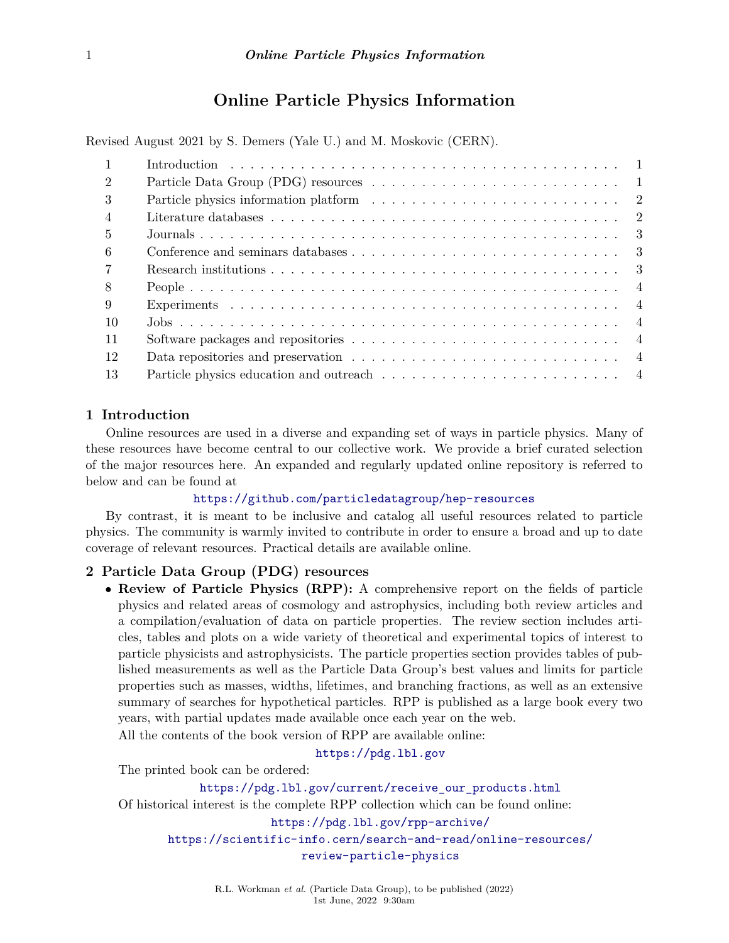# **Online Particle Physics Information**

Revised August 2021 by S. Demers (Yale U.) and M. Moskovic (CERN).

| $\overline{1}$ |                                                                                                  |
|----------------|--------------------------------------------------------------------------------------------------|
| $\overline{2}$ |                                                                                                  |
| 3              |                                                                                                  |
| $\overline{4}$ |                                                                                                  |
| $\frac{5}{2}$  |                                                                                                  |
| 6              |                                                                                                  |
|                |                                                                                                  |
| $\mathcal{R}$  |                                                                                                  |
| -9             |                                                                                                  |
| 10             |                                                                                                  |
| 11             | $\overline{4}$                                                                                   |
| 12             | Data repositories and preservation $\dots \dots \dots \dots \dots \dots \dots \dots \dots \dots$ |
| 13             |                                                                                                  |

# <span id="page-0-0"></span>**1 Introduction**

Online resources are used in a diverse and expanding set of ways in particle physics. Many of these resources have become central to our collective work. We provide a brief curated selection of the major resources here. An expanded and regularly updated online repository is referred to below and can be found at

# <https://github.com/particledatagroup/hep-resources>

By contrast, it is meant to be inclusive and catalog all useful resources related to particle physics. The community is warmly invited to contribute in order to ensure a broad and up to date coverage of relevant resources. Practical details are available online.

# <span id="page-0-1"></span>**2 Particle Data Group (PDG) resources**

• **Review of Particle Physics (RPP):** A comprehensive report on the fields of particle physics and related areas of cosmology and astrophysics, including both review articles and a compilation/evaluation of data on particle properties. The review section includes articles, tables and plots on a wide variety of theoretical and experimental topics of interest to particle physicists and astrophysicists. The particle properties section provides tables of published measurements as well as the Particle Data Group's best values and limits for particle properties such as masses, widths, lifetimes, and branching fractions, as well as an extensive summary of searches for hypothetical particles. RPP is published as a large book every two years, with partial updates made available once each year on the web.

All the contents of the book version of RPP are available online:

# <https://pdg.lbl.gov>

The printed book can be ordered:

# [https://pdg.lbl.gov/current/receive\\_our\\_products.html](https://pdg.lbl.gov/current/receive_our_products.html)

Of historical interest is the complete RPP collection which can be found online:

<https://pdg.lbl.gov/rpp-archive/>

[https://scientific-info.cern/search-and-read/online-resources/](https://scientific-info.cern/search-and-read/online-resources/review-particle-physics)

[review-particle-physics](https://scientific-info.cern/search-and-read/online-resources/review-particle-physics)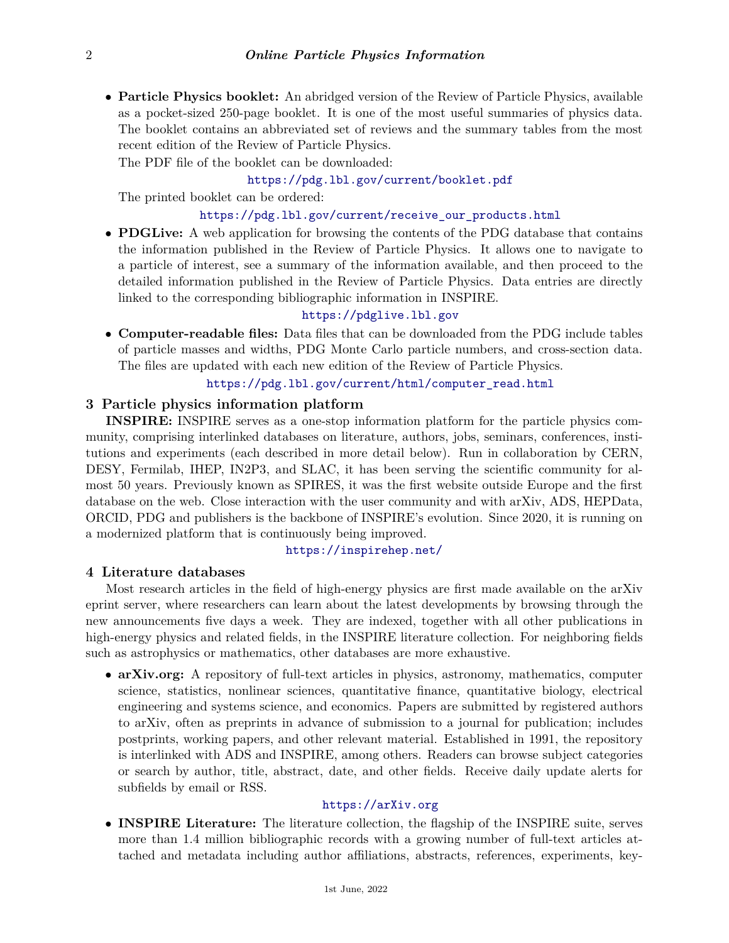• **Particle Physics booklet:** An abridged version of the Review of Particle Physics, available as a pocket-sized 250-page booklet. It is one of the most useful summaries of physics data. The booklet contains an abbreviated set of reviews and the summary tables from the most recent edition of the Review of Particle Physics.

The PDF file of the booklet can be downloaded:

#### <https://pdg.lbl.gov/current/booklet.pdf>

The printed booklet can be ordered:

# [https://pdg.lbl.gov/current/receive\\_our\\_products.html](https://pdg.lbl.gov/current/receive_our_products.html)

• **PDGLive:** A web application for browsing the contents of the PDG database that contains the information published in the Review of Particle Physics. It allows one to navigate to a particle of interest, see a summary of the information available, and then proceed to the detailed information published in the Review of Particle Physics. Data entries are directly linked to the corresponding bibliographic information in INSPIRE.

# <https://pdglive.lbl.gov>

• **Computer-readable files:** Data files that can be downloaded from the PDG include tables of particle masses and widths, PDG Monte Carlo particle numbers, and cross-section data. The files are updated with each new edition of the Review of Particle Physics.

#### [https://pdg.lbl.gov/current/html/computer\\_read.html](https://pdg.lbl.gov/current/html/computer_read.html)

# <span id="page-1-0"></span>**3 Particle physics information platform**

**INSPIRE:** INSPIRE serves as a one-stop information platform for the particle physics community, comprising interlinked databases on literature, authors, jobs, seminars, conferences, institutions and experiments (each described in more detail below). Run in collaboration by CERN, DESY, Fermilab, IHEP, IN2P3, and SLAC, it has been serving the scientific community for almost 50 years. Previously known as SPIRES, it was the first website outside Europe and the first database on the web. Close interaction with the user community and with arXiv, ADS, HEPData, ORCID, PDG and publishers is the backbone of INSPIRE's evolution. Since 2020, it is running on a modernized platform that is continuously being improved.

#### <span id="page-1-1"></span>**4 Literature databases**

#### <https://inspirehep.net/>

Most research articles in the field of high-energy physics are first made available on the arXiv eprint server, where researchers can learn about the latest developments by browsing through the new announcements five days a week. They are indexed, together with all other publications in high-energy physics and related fields, in the INSPIRE literature collection. For neighboring fields such as astrophysics or mathematics, other databases are more exhaustive.

• **arXiv.org:** A repository of full-text articles in physics, astronomy, mathematics, computer science, statistics, nonlinear sciences, quantitative finance, quantitative biology, electrical engineering and systems science, and economics. Papers are submitted by registered authors to arXiv, often as preprints in advance of submission to a journal for publication; includes postprints, working papers, and other relevant material. Established in 1991, the repository is interlinked with ADS and INSPIRE, among others. Readers can browse subject categories or search by author, title, abstract, date, and other fields. Receive daily update alerts for subfields by email or RSS.

#### <https://arXiv.org>

• **INSPIRE Literature:** The literature collection, the flagship of the INSPIRE suite, serves more than 1.4 million bibliographic records with a growing number of full-text articles attached and metadata including author affiliations, abstracts, references, experiments, key-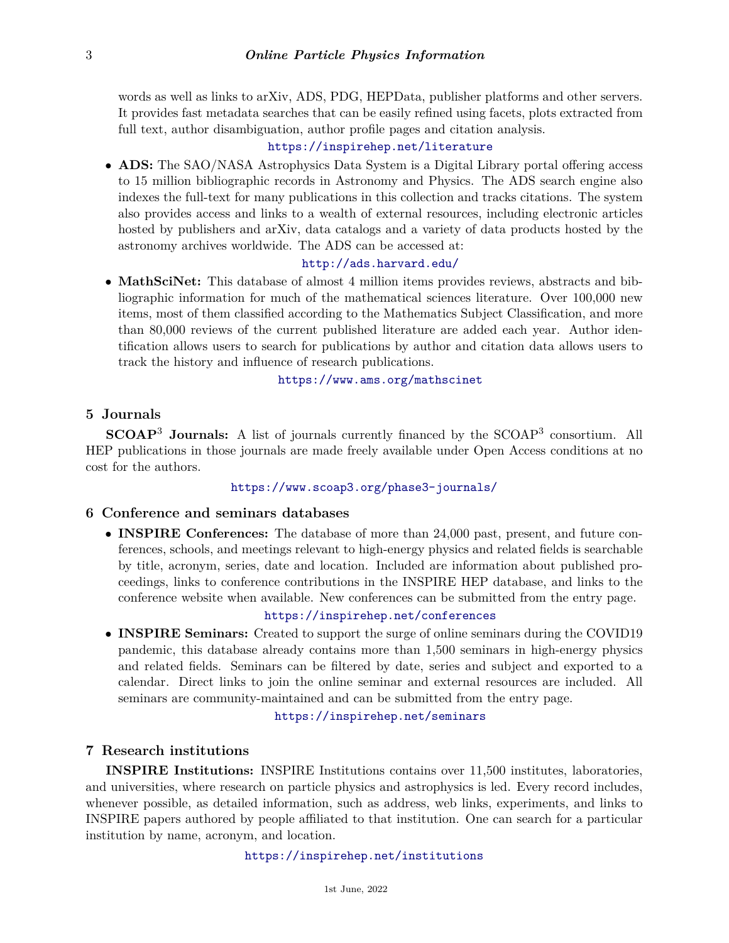words as well as links to arXiv, ADS, PDG, HEPData, publisher platforms and other servers. It provides fast metadata searches that can be easily refined using facets, plots extracted from full text, author disambiguation, author profile pages and citation analysis.

# <https://inspirehep.net/literature>

• **ADS:** The SAO/NASA Astrophysics Data System is a Digital Library portal offering access to 15 million bibliographic records in Astronomy and Physics. The ADS search engine also indexes the full-text for many publications in this collection and tracks citations. The system also provides access and links to a wealth of external resources, including electronic articles hosted by publishers and arXiv, data catalogs and a variety of data products hosted by the astronomy archives worldwide. The ADS can be accessed at:

#### <http://ads.harvard.edu/>

• **MathSciNet:** This database of almost 4 million items provides reviews, abstracts and bibliographic information for much of the mathematical sciences literature. Over 100,000 new items, most of them classified according to the Mathematics Subject Classification, and more than 80,000 reviews of the current published literature are added each year. Author identification allows users to search for publications by author and citation data allows users to track the history and influence of research publications.

<https://www.ams.org/mathscinet>

# <span id="page-2-0"></span>**5 Journals**

**SCOAP**<sup>3</sup> **Journals:** A list of journals currently financed by the SCOAP<sup>3</sup> consortium. All HEP publications in those journals are made freely available under Open Access conditions at no cost for the authors.

#### <https://www.scoap3.org/phase3-journals/>

#### <span id="page-2-1"></span>**6 Conference and seminars databases**

• **INSPIRE Conferences:** The database of more than 24,000 past, present, and future conferences, schools, and meetings relevant to high-energy physics and related fields is searchable by title, acronym, series, date and location. Included are information about published proceedings, links to conference contributions in the INSPIRE HEP database, and links to the conference website when available. New conferences can be submitted from the entry page.

# <https://inspirehep.net/conferences>

• **INSPIRE Seminars:** Created to support the surge of online seminars during the COVID19 pandemic, this database already contains more than 1,500 seminars in high-energy physics and related fields. Seminars can be filtered by date, series and subject and exported to a calendar. Direct links to join the online seminar and external resources are included. All seminars are community-maintained and can be submitted from the entry page.

## <https://inspirehep.net/seminars>

#### <span id="page-2-2"></span>**7 Research institutions**

**INSPIRE Institutions:** INSPIRE Institutions contains over 11,500 institutes, laboratories, and universities, where research on particle physics and astrophysics is led. Every record includes, whenever possible, as detailed information, such as address, web links, experiments, and links to INSPIRE papers authored by people affiliated to that institution. One can search for a particular institution by name, acronym, and location.

<https://inspirehep.net/institutions>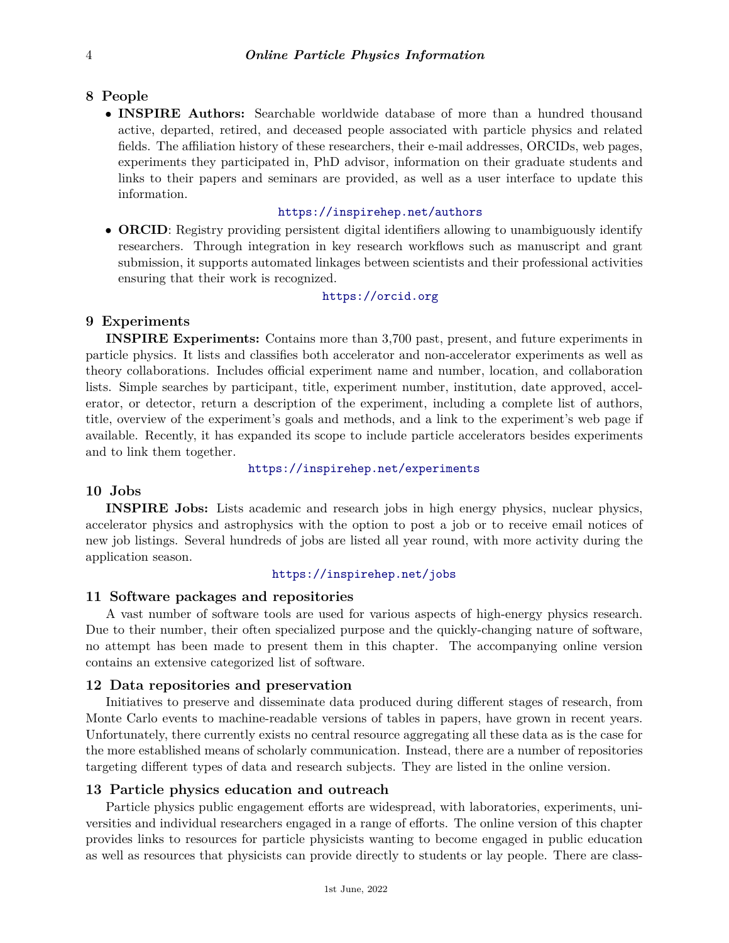# <span id="page-3-0"></span>**8 People**

• **INSPIRE Authors:** Searchable worldwide database of more than a hundred thousand active, departed, retired, and deceased people associated with particle physics and related fields. The affiliation history of these researchers, their e-mail addresses, ORCIDs, web pages, experiments they participated in, PhD advisor, information on their graduate students and links to their papers and seminars are provided, as well as a user interface to update this information.

#### <https://inspirehep.net/authors>

• **ORCID**: Registry providing persistent digital identifiers allowing to unambiguously identify researchers. Through integration in key research workflows such as manuscript and grant submission, it supports automated linkages between scientists and their professional activities ensuring that their work is recognized.

# <https://orcid.org>

# <span id="page-3-1"></span>**9 Experiments**

**INSPIRE Experiments:** Contains more than 3,700 past, present, and future experiments in particle physics. It lists and classifies both accelerator and non-accelerator experiments as well as theory collaborations. Includes official experiment name and number, location, and collaboration lists. Simple searches by participant, title, experiment number, institution, date approved, accelerator, or detector, return a description of the experiment, including a complete list of authors, title, overview of the experiment's goals and methods, and a link to the experiment's web page if available. Recently, it has expanded its scope to include particle accelerators besides experiments and to link them together.

#### <https://inspirehep.net/experiments>

# <span id="page-3-2"></span>**10 Jobs**

**INSPIRE Jobs:** Lists academic and research jobs in high energy physics, nuclear physics, accelerator physics and astrophysics with the option to post a job or to receive email notices of new job listings. Several hundreds of jobs are listed all year round, with more activity during the application season.

#### <https://inspirehep.net/jobs>

### <span id="page-3-3"></span>**11 Software packages and repositories**

A vast number of software tools are used for various aspects of high-energy physics research. Due to their number, their often specialized purpose and the quickly-changing nature of software, no attempt has been made to present them in this chapter. The accompanying online version contains an extensive categorized list of software.

#### <span id="page-3-4"></span>**12 Data repositories and preservation**

Initiatives to preserve and disseminate data produced during different stages of research, from Monte Carlo events to machine-readable versions of tables in papers, have grown in recent years. Unfortunately, there currently exists no central resource aggregating all these data as is the case for the more established means of scholarly communication. Instead, there are a number of repositories targeting different types of data and research subjects. They are listed in the online version.

# <span id="page-3-5"></span>**13 Particle physics education and outreach**

Particle physics public engagement efforts are widespread, with laboratories, experiments, universities and individual researchers engaged in a range of efforts. The online version of this chapter provides links to resources for particle physicists wanting to become engaged in public education as well as resources that physicists can provide directly to students or lay people. There are class